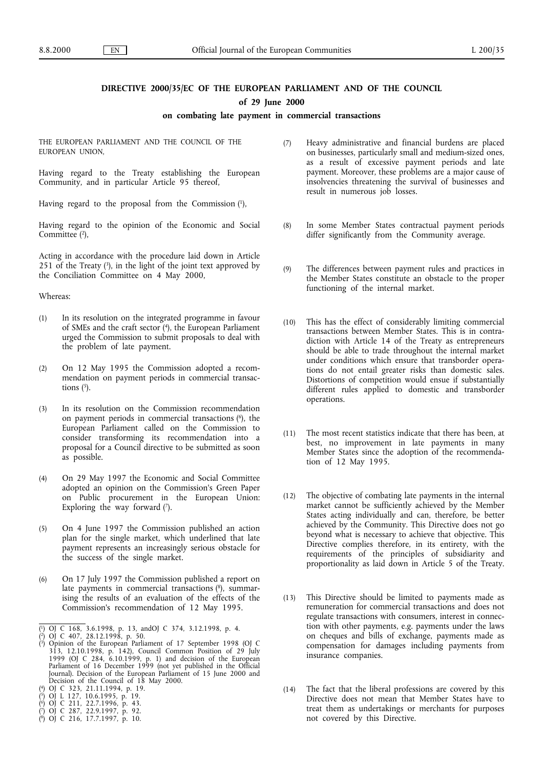## **DIRECTIVE 2000/35/EC OF THE EUROPEAN PARLIAMENT AND OF THE COUNCIL**

# **of 29 June 2000**

# **on combating late payment in commercial transactions**

THE EUROPEAN PARLIAMENT AND THE COUNCIL OF THE EUROPEAN UNION,

Having regard to the Treaty establishing the European Community, and in particular Article 95 thereof,

Having regard to the proposal from the Commission (1),

Having regard to the opinion of the Economic and Social Committee  $(2)$ ,

Acting in accordance with the procedure laid down in Article 251 of the Treaty  $(3)$ , in the light of the joint text approved by the Conciliation Committee on 4 May 2000,

#### Whereas:

- (1) In its resolution on the integrated programme in favour of SMEs and the craft sector (4), the European Parliament urged the Commission to submit proposals to deal with the problem of late payment.
- (2) On 12 May 1995 the Commission adopted a recommendation on payment periods in commercial transactions  $(5)$ .
- (3) In its resolution on the Commission recommendation on payment periods in commercial transactions (6), the European Parliament called on the Commission to consider transforming its recommendation into a proposal for a Council directive to be submitted as soon as possible.
- (4) On 29 May 1997 the Economic and Social Committee adopted an opinion on the Commission's Green Paper on Public procurement in the European Union: Exploring the way forward  $(7)$ .
- (5) On 4 June 1997 the Commission published an action plan for the single market, which underlined that late payment represents an increasingly serious obstacle for the success of the single market.
- (6) On 17 July 1997 the Commission published a report on late payments in commercial transactions (8), summarising the results of an evaluation of the effects of the Commission's recommendation of 12 May 1995.

- ( 7) OJ C 287, 22.9.1997, p. 92.
- ( 8) OJ C 216, 17.7.1997, p. 10.
- (7) Heavy administrative and financial burdens are placed on businesses, particularly small and medium-sized ones, as a result of excessive payment periods and late payment. Moreover, these problems are a major cause of insolvencies threatening the survival of businesses and result in numerous job losses.
- (8) In some Member States contractual payment periods differ significantly from the Community average.
- (9) The differences between payment rules and practices in the Member States constitute an obstacle to the proper functioning of the internal market.
- (10) This has the effect of considerably limiting commercial transactions between Member States. This is in contradiction with Article 14 of the Treaty as entrepreneurs should be able to trade throughout the internal market under conditions which ensure that transborder operations do not entail greater risks than domestic sales. Distortions of competition would ensue if substantially different rules applied to domestic and transborder operations.
- (11) The most recent statistics indicate that there has been, at best, no improvement in late payments in many Member States since the adoption of the recommendation of 12 May 1995.
- (12) The objective of combating late payments in the internal market cannot be sufficiently achieved by the Member States acting individually and can, therefore, be better achieved by the Community. This Directive does not go beyond what is necessary to achieve that objective. This Directive complies therefore, in its entirety, with the requirements of the principles of subsidiarity and proportionality as laid down in Article 5 of the Treaty.
- (13) This Directive should be limited to payments made as remuneration for commercial transactions and does not regulate transactions with consumers, interest in connection with other payments, e.g. payments under the laws on cheques and bills of exchange, payments made as compensation for damages including payments from insurance companies.
- (14) The fact that the liberal professions are covered by this Directive does not mean that Member States have to treat them as undertakings or merchants for purposes not covered by this Directive.

<sup>(</sup> 1) OJ C 168, 3.6.1998, p. 13, andOJ C 374, 3.12.1998, p. 4.

<sup>(</sup> 2) OJ C 407, 28.12.1998, p. 50.

<sup>(</sup> 3) Opinion of the European Parliament of 17 September 1998 (OJ C 313, 12.10.1998, p. 142), Council Common Position of 29 July 1999 (OJ C 284, 6.10.1999, p. 1) and decision of the European Parliament of 16 December 1999 (not yet published in the Official Journal). Decision of the European Parliament of 15 June 2000 and Decision of the Council of 18 May 2000.

<sup>(</sup> 4) OJ C 323, 21.11.1994, p. 19.

<sup>(</sup> 5) OJ L 127, 10.6.1995, p. 19.

<sup>(</sup> 6) OJ C 211, 22.7.1996, p. 43.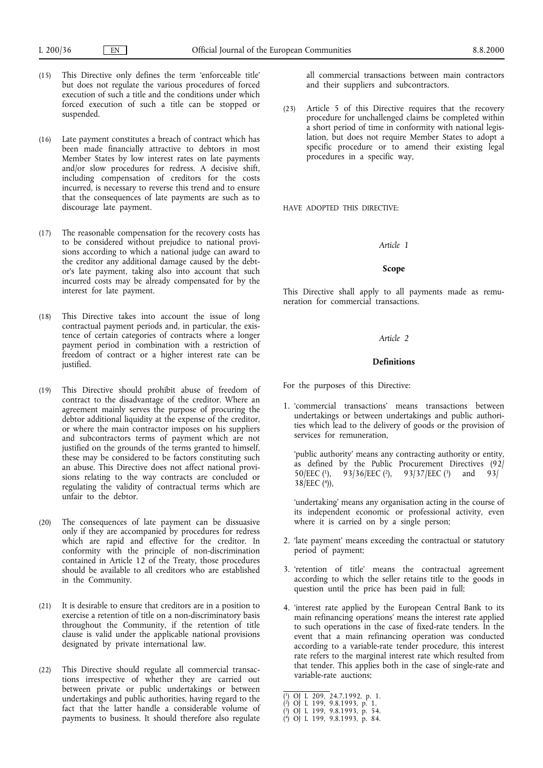- (15) This Directive only defines the term 'enforceable title' but does not regulate the various procedures of forced execution of such a title and the conditions under which forced execution of such a title can be stopped or suspended.
- (16) Late payment constitutes a breach of contract which has been made financially attractive to debtors in most Member States by low interest rates on late payments and/or slow procedures for redress. A decisive shift, including compensation of creditors for the costs incurred, is necessary to reverse this trend and to ensure that the consequences of late payments are such as to discourage late payment.
- (17) The reasonable compensation for the recovery costs has to be considered without prejudice to national provisions according to which a national judge can award to the creditor any additional damage caused by the debtor's late payment, taking also into account that such incurred costs may be already compensated for by the interest for late payment.
- (18) This Directive takes into account the issue of long contractual payment periods and, in particular, the existence of certain categories of contracts where a longer payment period in combination with a restriction of freedom of contract or a higher interest rate can be justified.
- (19) This Directive should prohibit abuse of freedom of contract to the disadvantage of the creditor. Where an agreement mainly serves the purpose of procuring the debtor additional liquidity at the expense of the creditor, or where the main contractor imposes on his suppliers and subcontractors terms of payment which are not justified on the grounds of the terms granted to himself, these may be considered to be factors constituting such an abuse. This Directive does not affect national provisions relating to the way contracts are concluded or regulating the validity of contractual terms which are unfair to the debtor.
- (20) The consequences of late payment can be dissuasive only if they are accompanied by procedures for redress which are rapid and effective for the creditor. In conformity with the principle of non-discrimination contained in Article 12 of the Treaty, those procedures should be available to all creditors who are established in the Community.
- (21) It is desirable to ensure that creditors are in a position to exercise a retention of title on a non-discriminatory basis throughout the Community, if the retention of title clause is valid under the applicable national provisions designated by private international law.
- (22) This Directive should regulate all commercial transactions irrespective of whether they are carried out between private or public undertakings or between undertakings and public authorities, having regard to the fact that the latter handle a considerable volume of payments to business. It should therefore also regulate

all commercial transactions between main contractors and their suppliers and subcontractors.

(23) Article 5 of this Directive requires that the recovery procedure for unchallenged claims be completed within a short period of time in conformity with national legislation, but does not require Member States to adopt a specific procedure or to amend their existing legal procedures in a specific way,

HAVE ADOPTED THIS DIRECTIVE:

### *Article 1*

### **Scope**

This Directive shall apply to all payments made as remuneration for commercial transactions.

### *Article 2*

#### **Definitions**

For the purposes of this Directive:

1. 'commercial transactions' means transactions between undertakings or between undertakings and public authorities which lead to the delivery of goods or the provision of services for remuneration,

'public authority' means any contracting authority or entity, as defined by the Public Procurement Directives  $(92/50/EEC)$ ,  $93/36/EEC$  (?) and  $93/5$ 93/37/EEC (3) and 93/ 38/EEC (4)),

'undertaking' means any organisation acting in the course of its independent economic or professional activity, even where it is carried on by a single person;

- 2. 'late payment' means exceeding the contractual or statutory period of payment;
- 3. 'retention of title' means the contractual agreement according to which the seller retains title to the goods in question until the price has been paid in full;
- 4. 'interest rate applied by the European Central Bank to its main refinancing operations' means the interest rate applied to such operations in the case of fixed-rate tenders. In the event that a main refinancing operation was conducted according to a variable-rate tender procedure, this interest rate refers to the marginal interest rate which resulted from that tender. This applies both in the case of single-rate and variable-rate auctions;

<sup>(</sup> 1) OJ L 209, 24.7.1992, p. 1.

<sup>(</sup> 2) OJ L 199, 9.8.1993, p. 1.

<sup>(</sup> 3) OJ L 199, 9.8.1993, p. 54. ( 4) OJ L 199, 9.8.1993, p. 84.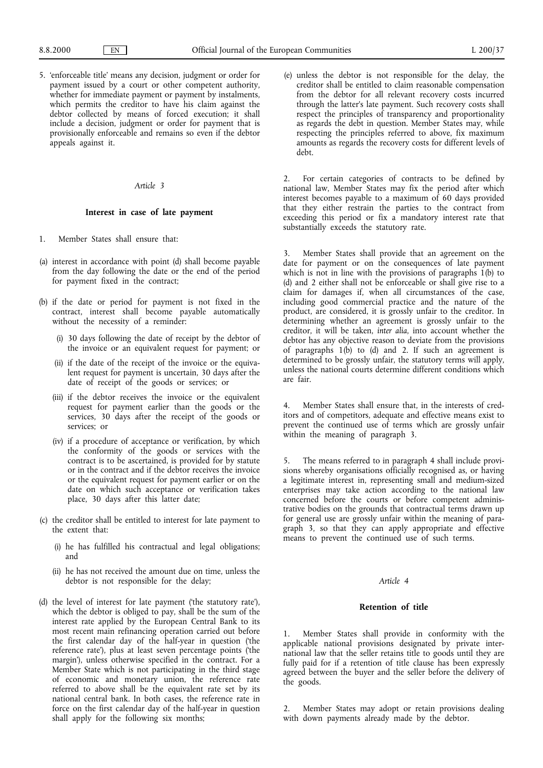5. 'enforceable title' means any decision, judgment or order for payment issued by a court or other competent authority, whether for immediate payment or payment by instalments, which permits the creditor to have his claim against the debtor collected by means of forced execution; it shall include a decision, judgment or order for payment that is provisionally enforceable and remains so even if the debtor appeals against it.

# *Article 3*

### **Interest in case of late payment**

- 1. Member States shall ensure that:
- (a) interest in accordance with point (d) shall become payable from the day following the date or the end of the period for payment fixed in the contract;
- (b) if the date or period for payment is not fixed in the contract, interest shall become payable automatically without the necessity of a reminder:
	- (i) 30 days following the date of receipt by the debtor of the invoice or an equivalent request for payment; or
	- (ii) if the date of the receipt of the invoice or the equivalent request for payment is uncertain, 30 days after the date of receipt of the goods or services; or
	- (iii) if the debtor receives the invoice or the equivalent request for payment earlier than the goods or the services, 30 days after the receipt of the goods or services; or
	- (iv) if a procedure of acceptance or verification, by which the conformity of the goods or services with the contract is to be ascertained, is provided for by statute or in the contract and if the debtor receives the invoice or the equivalent request for payment earlier or on the date on which such acceptance or verification takes place, 30 days after this latter date;
- (c) the creditor shall be entitled to interest for late payment to the extent that:
	- (i) he has fulfilled his contractual and legal obligations; and
	- (ii) he has not received the amount due on time, unless the debtor is not responsible for the delay;
- (d) the level of interest for late payment ('the statutory rate'), which the debtor is obliged to pay, shall be the sum of the interest rate applied by the European Central Bank to its most recent main refinancing operation carried out before the first calendar day of the half-year in question ('the reference rate'), plus at least seven percentage points ('the margin'), unless otherwise specified in the contract. For a Member State which is not participating in the third stage of economic and monetary union, the reference rate referred to above shall be the equivalent rate set by its national central bank. In both cases, the reference rate in force on the first calendar day of the half-year in question shall apply for the following six months;

(e) unless the debtor is not responsible for the delay, the creditor shall be entitled to claim reasonable compensation from the debtor for all relevant recovery costs incurred through the latter's late payment. Such recovery costs shall respect the principles of transparency and proportionality as regards the debt in question. Member States may, while respecting the principles referred to above, fix maximum amounts as regards the recovery costs for different levels of debt.

2. For certain categories of contracts to be defined by national law, Member States may fix the period after which interest becomes payable to a maximum of 60 days provided that they either restrain the parties to the contract from exceeding this period or fix a mandatory interest rate that substantially exceeds the statutory rate.

3. Member States shall provide that an agreement on the date for payment or on the consequences of late payment which is not in line with the provisions of paragraphs 1(b) to (d) and 2 either shall not be enforceable or shall give rise to a claim for damages if, when all circumstances of the case, including good commercial practice and the nature of the product, are considered, it is grossly unfair to the creditor. In determining whether an agreement is grossly unfair to the creditor, it will be taken, *inter alia*, into account whether the debtor has any objective reason to deviate from the provisions of paragraphs 1(b) to (d) and 2. If such an agreement is determined to be grossly unfair, the statutory terms will apply, unless the national courts determine different conditions which are fair.

4. Member States shall ensure that, in the interests of creditors and of competitors, adequate and effective means exist to prevent the continued use of terms which are grossly unfair within the meaning of paragraph 3.

5. The means referred to in paragraph 4 shall include provisions whereby organisations officially recognised as, or having a legitimate interest in, representing small and medium-sized enterprises may take action according to the national law concerned before the courts or before competent administrative bodies on the grounds that contractual terms drawn up for general use are grossly unfair within the meaning of paragraph 3, so that they can apply appropriate and effective means to prevent the continued use of such terms.

#### *Article 4*

# **Retention of title**

1. Member States shall provide in conformity with the applicable national provisions designated by private international law that the seller retains title to goods until they are fully paid for if a retention of title clause has been expressly agreed between the buyer and the seller before the delivery of the goods.

Member States may adopt or retain provisions dealing with down payments already made by the debtor.